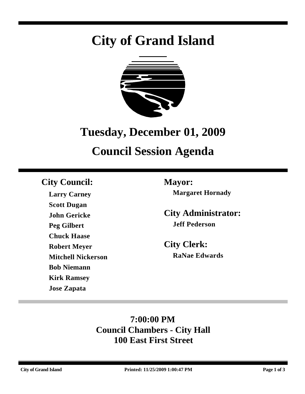# **City of Grand Island**



# **Tuesday, December 01, 2009**

# **Council Session Agenda**

## **City Council: Mayor:**

**Larry Carney Scott Dugan John Gericke Peg Gilbert Chuck Haase Robert Meyer Mitchell Nickerson Bob Niemann Kirk Ramsey Jose Zapata**

**Margaret Hornady**

**City Administrator: Jeff Pederson**

**City Clerk: RaNae Edwards**

# **7:00:00 PM Council Chambers - City Hall 100 East First Street**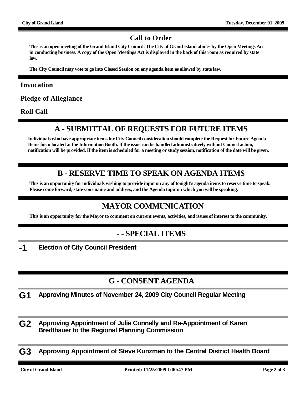#### **Call to Order**

**This is an open meeting of the Grand Island City Council. The City of Grand Island abides by the Open Meetings Act in conducting business. A copy of the Open Meetings Act is displayed in the back of this room as required by state law.**

**The City Council may vote to go into Closed Session on any agenda item as allowed by state law.**

#### **Invocation**

**Pledge of Allegiance**

**Roll Call**

### **A - SUBMITTAL OF REQUESTS FOR FUTURE ITEMS**

**Individuals who have appropriate items for City Council consideration should complete the Request for Future Agenda Items form located at the Information Booth. If the issue can be handled administratively without Council action, notification will be provided. If the item is scheduled for a meeting or study session, notification of the date will be given.**

#### **B - RESERVE TIME TO SPEAK ON AGENDA ITEMS**

**This is an opportunity for individuals wishing to provide input on any of tonight's agenda items to reserve time to speak. Please come forward, state your name and address, and the Agenda topic on which you will be speaking.**

### **MAYOR COMMUNICATION**

**This is an opportunity for the Mayor to comment on current events, activities, and issues of interest to the community.**

#### **- - SPECIAL ITEMS**

**-1 Election of City Council President**

### **G - CONSENT AGENDA**

- **G1 Approving Minutes of November 24, 2009 City Council Regular Meeting**
- **G2 Approving Appointment of Julie Connelly and Re-Appointment of Karen Bredthauer to the Regional Planning Commission**
- **G3 Approving Appointment of Steve Kunzman to the Central District Health Board**